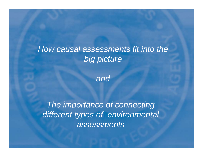## *How causal assessments fit into the assessments big picture*

*and*

*The importance of connecting different types of environmental assessments*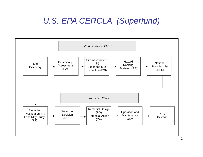## *U.S. EPA CERCLA (Superfund)*

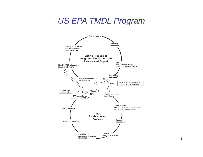## *US EPA TMDL Program*

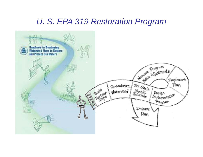## *U. S. EPA 319 Restoration Program*

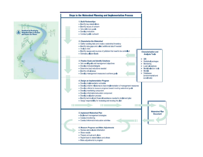

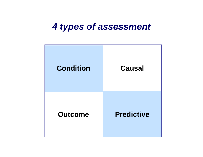## *4 types of assessment*

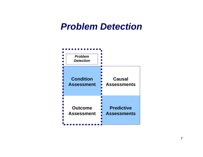## *Problem Detection*

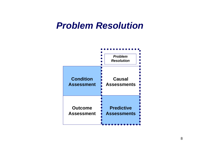## *Problem Resolution*

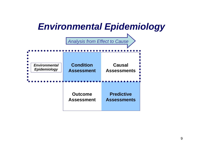

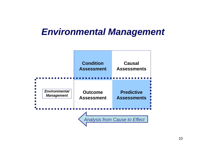## *E i t lM t Environmen ta l Managemen*

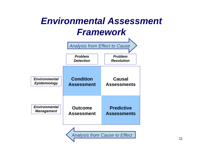# *Environmental Assessment F k ramework*

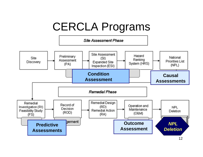# **CERCLA Programs**

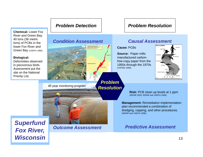#### **Chemical:** Lower Fox River and Green Bay: 40 tons (36 metric tons) of PCBs in the lower Fox River and Green Bay (USEPA 1989).

#### **Biological:**

Deformities observed in piscivorous birds. Assessment put the site on the National Priority List.

#### *Problem Detection*

#### *Condition Assessment*



40 year monitoring program

### *Problem Resolution*

#### *Causal Assessment*

**Cause:** PCBs

*Resolution*

**Source:** Paper mills manufactured carbonfree-copy paper from the 1950s through the 1970s (USFWS 1999).



**Risk:** PCB clean up levels at 1 ppm (WDNR 2003; WDNR and USEPA 2006).

**Management:** Remediation implementation plan recommended a combination of dredging, capping, and other procedures. (WDNR and USEPA 2006).

*Superfund Fox River, Wisconsin*

*Outcome Assessment*

*Predictive Assessment*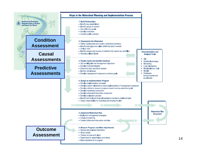

14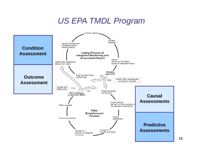## *US EPA TMDL Program*

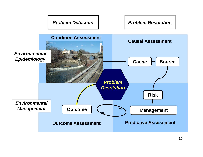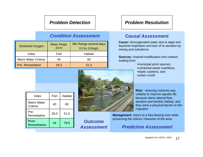### *Problem Detection*

#### *Condition Assessment*

| <b>Dissolved Oxygen</b> | Mean 4mg/L<br>24 hr | Min Range several days<br>0.0 to 3.0mg/L |
|-------------------------|---------------------|------------------------------------------|
| Index                   | Fish                | Habitat                                  |
| Warm Water Criteria     | 40                  | 60                                       |
| <b>Pre-Remediation</b>  | 28.0                | 51.0                                     |

## *Problem Resolution*

#### *Causal Assessment*

**Cause:** Deoxygenated water due to algal and mg/L Min Range several days<br>
0.0 to 3.0mg/L bacterial respiration and lack of re-aeration by<br>
mixing and turbulence. ixing and turbul

> **Sources:** channel modification and nutrient loading from

> > •municipal point sources,  $\bullet$ combined sewer overflows, •septic systems, and •urban runoff.

**Risk:** reducing nutrients was unlikely to improve aquatic life because dams altered flow, aeration and benthic habitat, and they were a physical barrier to fish igrati

**Management**: return to a free-flowing river while preserving the historic character of the area.

*Outcome Assessment*

#### *Predictive Assessment*

| Index                              | Fish | Habitat |
|------------------------------------|------|---------|
| Warm Water<br>Criteria             | 40   | 60      |
| Pre-<br>Remediation                | 28.0 | 51.0    |
| <b>Post-</b><br><b>Remediation</b> | 44   | 79.5    |
|                                    |      |         |

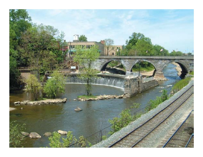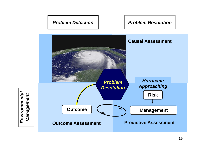

*n*